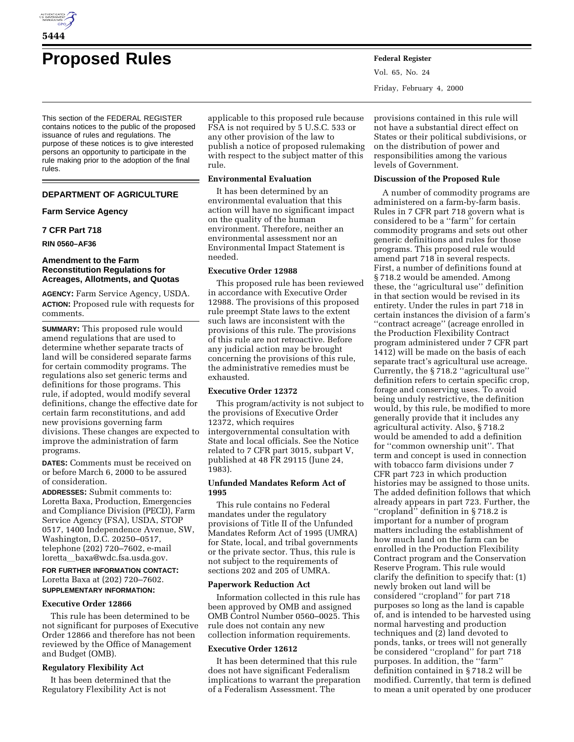

# **Proposed Rules Federal Register**

This section of the FEDERAL REGISTER contains notices to the public of the proposed issuance of rules and regulations. The purpose of these notices is to give interested persons an opportunity to participate in the rule making prior to the adoption of the final rules.

# **DEPARTMENT OF AGRICULTURE**

# **Farm Service Agency**

#### **7 CFR Part 718**

**RIN 0560–AF36**

#### **Amendment to the Farm Reconstitution Regulations for Acreages, Allotments, and Quotas**

**AGENCY:** Farm Service Agency, USDA. **ACTION:** Proposed rule with requests for comments.

**SUMMARY:** This proposed rule would amend regulations that are used to determine whether separate tracts of land will be considered separate farms for certain commodity programs. The regulations also set generic terms and definitions for those programs. This rule, if adopted, would modify several definitions, change the effective date for certain farm reconstitutions, and add new provisions governing farm divisions. These changes are expected to improve the administration of farm programs.

**DATES:** Comments must be received on or before March 6, 2000 to be assured of consideration.

**ADDRESSES:** Submit comments to: Loretta Baxa, Production, Emergencies and Compliance Division (PECD), Farm Service Agency (FSA), USDA, STOP 0517, 1400 Independence Avenue, SW, Washington, D.C. 20250–0517, telephone (202) 720–7602, e-mail loretta\_baxa@wdc.fsa.usda.gov.

# **FOR FURTHER INFORMATION CONTACT:** Loretta Baxa at (202) 720–7602.

#### **SUPPLEMENTARY INFORMATION:**

#### **Executive Order 12866**

This rule has been determined to be not significant for purposes of Executive Order 12866 and therefore has not been reviewed by the Office of Management and Budget (OMB).

# **Regulatory Flexibility Act**

It has been determined that the Regulatory Flexibility Act is not

applicable to this proposed rule because FSA is not required by 5 U.S.C. 533 or any other provision of the law to publish a notice of proposed rulemaking with respect to the subject matter of this rule.

#### **Environmental Evaluation**

It has been determined by an environmental evaluation that this action will have no significant impact on the quality of the human environment. Therefore, neither an environmental assessment nor an Environmental Impact Statement is needed.

#### **Executive Order 12988**

This proposed rule has been reviewed in accordance with Executive Order 12988. The provisions of this proposed rule preempt State laws to the extent such laws are inconsistent with the provisions of this rule. The provisions of this rule are not retroactive. Before any judicial action may be brought concerning the provisions of this rule, the administrative remedies must be exhausted.

# **Executive Order 12372**

This program/activity is not subject to the provisions of Executive Order 12372, which requires intergovernmental consultation with State and local officials. See the Notice related to 7 CFR part 3015, subpart V, published at 48 FR 29115 (June 24, 1983).

#### **Unfunded Mandates Reform Act of 1995**

This rule contains no Federal mandates under the regulatory provisions of Title II of the Unfunded Mandates Reform Act of 1995 (UMRA) for State, local, and tribal governments or the private sector. Thus, this rule is not subject to the requirements of sections 202 and 205 of UMRA.

#### **Paperwork Reduction Act**

Information collected in this rule has been approved by OMB and assigned OMB Control Number 0560–0025. This rule does not contain any new collection information requirements.

#### **Executive Order 12612**

It has been determined that this rule does not have significant Federalism implications to warrant the preparation of a Federalism Assessment. The

Vol. 65, No. 24 Friday, February 4, 2000

provisions contained in this rule will not have a substantial direct effect on States or their political subdivisions, or on the distribution of power and responsibilities among the various levels of Government.

#### **Discussion of the Proposed Rule**

A number of commodity programs are administered on a farm-by-farm basis. Rules in 7 CFR part 718 govern what is considered to be a ''farm'' for certain commodity programs and sets out other generic definitions and rules for those programs. This proposed rule would amend part 718 in several respects. First, a number of definitions found at § 718.2 would be amended. Among these, the ''agricultural use'' definition in that section would be revised in its entirety. Under the rules in part 718 in certain instances the division of a farm's ''contract acreage'' (acreage enrolled in the Production Flexibility Contract program administered under 7 CFR part 1412) will be made on the basis of each separate tract's agricultural use acreage. Currently, the § 718.2 ''agricultural use'' definition refers to certain specific crop, forage and conserving uses. To avoid being unduly restrictive, the definition would, by this rule, be modified to more generally provide that it includes any agricultural activity. Also, § 718.2 would be amended to add a definition for ''common ownership unit''. That term and concept is used in connection with tobacco farm divisions under 7 CFR part 723 in which production histories may be assigned to those units. The added definition follows that which already appears in part 723. Further, the ''cropland'' definition in § 718.2 is important for a number of program matters including the establishment of how much land on the farm can be enrolled in the Production Flexibility Contract program and the Conservation Reserve Program. This rule would clarify the definition to specify that: (1) newly broken out land will be considered ''cropland'' for part 718 purposes so long as the land is capable of, and is intended to be harvested using normal harvesting and production techniques and (2) land devoted to ponds, tanks, or trees will not generally be considered ''cropland'' for part 718 purposes. In addition, the ''farm'' definition contained in § 718.2 will be modified. Currently, that term is defined to mean a unit operated by one producer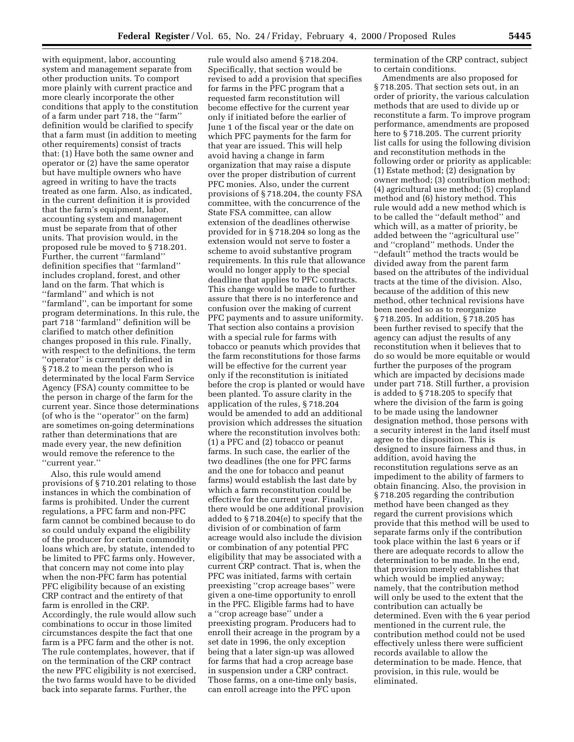with equipment, labor, accounting system and management separate from other production units. To comport more plainly with current practice and more clearly incorporate the other conditions that apply to the constitution of a farm under part 718, the ''farm'' definition would be clarified to specify that a farm must (in addition to meeting other requirements) consist of tracts that: (1) Have both the same owner and operator or (2) have the same operator but have multiple owners who have agreed in writing to have the tracts treated as one farm. Also, as indicated, in the current definition it is provided that the farm's equipment, labor, accounting system and management must be separate from that of other units. That provision would, in the proposed rule be moved to § 718.201. Further, the current ''farmland'' definition specifies that ''farmland'' includes cropland, forest, and other land on the farm. That which is ''farmland'' and which is not ''farmland'', can be important for some program determinations. In this rule, the part 718 ''farmland'' definition will be clarified to match other definition changes proposed in this rule. Finally, with respect to the definitions, the term "operator" is currently defined in § 718.2 to mean the person who is determinated by the local Farm Service Agency (FSA) county committee to be the person in charge of the farm for the current year. Since those determinations (of who is the ''operator'' on the farm) are sometimes on-going determinations rather than determinations that are made every year, the new definition would remove the reference to the ''current year.''

Also, this rule would amend provisions of § 710.201 relating to those instances in which the combination of farms is prohibited. Under the current regulations, a PFC farm and non-PFC farm cannot be combined because to do so could unduly expand the eligibility of the producer for certain commodity loans which are, by statute, intended to be limited to PFC farms only. However, that concern may not come into play when the non-PFC farm has potential PFC eligibility because of an existing CRP contract and the entirety of that farm is enrolled in the CRP. Accordingly, the rule would allow such combinations to occur in those limited circumstances despite the fact that one farm is a PFC farm and the other is not. The rule contemplates, however, that if on the termination of the CRP contract the new PFC eligibility is not exercised, the two farms would have to be divided back into separate farms. Further, the

rule would also amend § 718.204. Specifically, that section would be revised to add a provision that specifies for farms in the PFC program that a requested farm reconstitution will become effective for the current year only if initiated before the earlier of June 1 of the fiscal year or the date on which PFC payments for the farm for that year are issued. This will help avoid having a change in farm organization that may raise a dispute over the proper distribution of current PFC monies. Also, under the current provisions of § 718.204, the county FSA committee, with the concurrence of the State FSA committee, can allow extension of the deadlines otherwise provided for in § 718.204 so long as the extension would not serve to foster a scheme to avoid substantive program requirements. In this rule that allowance would no longer apply to the special deadline that applies to PFC contracts. This change would be made to further assure that there is no interference and confusion over the making of current PFC payments and to assure uniformity. That section also contains a provision with a special rule for farms with tobacco or peanuts which provides that the farm reconstitutions for those farms will be effective for the current year only if the reconstitution is initiated before the crop is planted or would have been planted. To assure clarity in the application of the rules, § 718.204 would be amended to add an additional provision which addresses the situation where the reconstitution involves both: (1) a PFC and (2) tobacco or peanut farms. In such case, the earlier of the two deadlines (the one for PFC farms and the one for tobacco and peanut farms) would establish the last date by which a farm reconstitution could be effective for the current year. Finally, there would be one additional provision added to § 718.204(e) to specify that the division of or combination of farm acreage would also include the division or combination of any potential PFC eligibility that may be associated with a current CRP contract. That is, when the PFC was initiated, farms with certain preexisting ''crop acreage bases'' were given a one-time opportunity to enroll in the PFC. Eligible farms had to have a ''crop acreage base'' under a preexisting program. Producers had to enroll their acreage in the program by a set date in 1996, the only exception being that a later sign-up was allowed for farms that had a crop acreage base in suspension under a CRP contract. Those farms, on a one-time only basis, can enroll acreage into the PFC upon

termination of the CRP contract, subject to certain conditions.

Amendments are also proposed for § 718.205. That section sets out, in an order of priority, the various calculation methods that are used to divide up or reconstitute a farm. To improve program performance, amendments are proposed here to § 718.205. The current priority list calls for using the following division and reconstitution methods in the following order or priority as applicable: (1) Estate method; (2) designation by owner method; (3) contribution method; (4) agricultural use method; (5) cropland method and (6) history method. This rule would add a new method which is to be called the ''default method'' and which will, as a matter of priority, be added between the ''agricultural use'' and ''cropland'' methods. Under the ''default'' method the tracts would be divided away from the parent farm based on the attributes of the individual tracts at the time of the division. Also, because of the addition of this new method, other technical revisions have been needed so as to reorganize § 718.205. In addition, § 718.205 has been further revised to specify that the agency can adjust the results of any reconstitution when it believes that to do so would be more equitable or would further the purposes of the program which are impacted by decisions made under part 718. Still further, a provision is added to § 718.205 to specify that where the division of the farm is going to be made using the landowner designation method, those persons with a security interest in the land itself must agree to the disposition. This is designed to insure fairness and thus, in addition, avoid having the reconstitution regulations serve as an impediment to the ability of farmers to obtain financing. Also, the provision in § 718.205 regarding the contribution method have been changed as they regard the current provisions which provide that this method will be used to separate farms only if the contribution took place within the last 6 years or if there are adequate records to allow the determination to be made. In the end, that provision merely establishes that which would be implied anyway; namely, that the contribution method will only be used to the extent that the contribution can actually be determined. Even with the 6 year period mentioned in the current rule, the contribution method could not be used effectively unless there were sufficient records available to allow the determination to be made. Hence, that provision, in this rule, would be eliminated.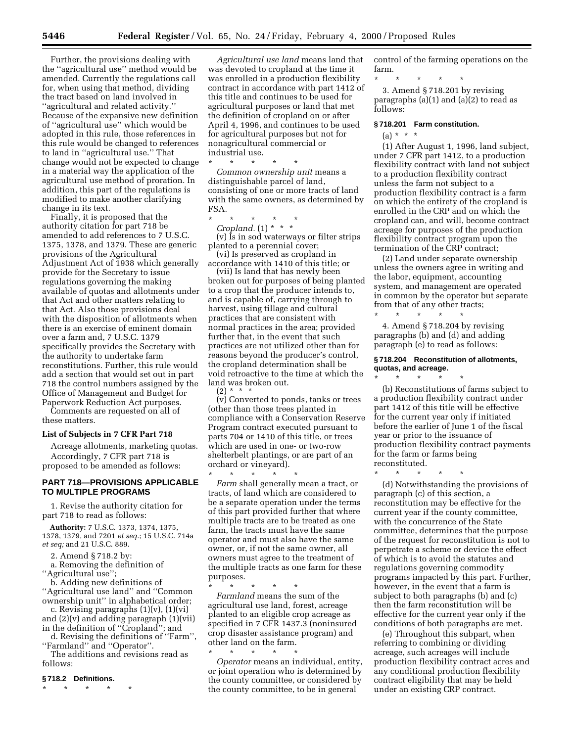Further, the provisions dealing with the ''agricultural use'' method would be amended. Currently the regulations call for, when using that method, dividing the tract based on land involved in ''agricultural and related activity.'' Because of the expansive new definition of ''agricultural use'' which would be adopted in this rule, those references in this rule would be changed to references to land in ''agricultural use.'' That change would not be expected to change in a material way the application of the agricultural use method of proration. In addition, this part of the regulations is modified to make another clarifying change in its text.

Finally, it is proposed that the authority citation for part 718 be amended to add references to 7 U.S.C. 1375, 1378, and 1379. These are generic provisions of the Agricultural Adjustment Act of 1938 which generally provide for the Secretary to issue regulations governing the making available of quotas and allotments under that Act and other matters relating to that Act. Also those provisions deal with the disposition of allotments when there is an exercise of eminent domain over a farm and, 7 U.S.C. 1379 specifically provides the Secretary with the authority to undertake farm reconstitutions. Further, this rule would add a section that would set out in part 718 the control numbers assigned by the Office of Management and Budget for Paperwork Reduction Act purposes.

Comments are requested on all of these matters.

#### **List of Subjects in 7 CFR Part 718**

Acreage allotments, marketing quotas. Accordingly, 7 CFR part 718 is proposed to be amended as follows:

#### **PART 718—PROVISIONS APPLICABLE TO MULTIPLE PROGRAMS**

1. Revise the authority citation for part 718 to read as follows:

**Authority:** 7 U.S.C. 1373, 1374, 1375, 1378, 1379, and 7201 *et seq.*; 15 U.S.C. 714a *et seq;* and 21 U.S.C. 889.

2. Amend § 718.2 by:

a. Removing the definition of ''Agricultural use'';

b. Adding new definitions of ''Agricultural use land'' and ''Common ownership unit'' in alphabetical order;

c. Revising paragraphs (1)(v), (1)(vi) and (2)(v) and adding paragraph (1)(vii) in the definition of ''Cropland''; and

d. Revising the definitions of ''Farm'', ''Farmland'' and ''Operator''.

The additions and revisions read as follows:

# **§ 718.2 Definitions.**

\* \* \* \* \*

*Agricultural use land* means land that was devoted to cropland at the time it was enrolled in a production flexibility contract in accordance with part 1412 of this title and continues to be used for agricultural purposes or land that met the definition of cropland on or after April 4, 1996, and continues to be used for agricultural purposes but not for nonagricultural commercial or industrial use.

*Common ownership unit* means a distinguishable parcel of land, consisting of one or more tracts of land with the same owners, as determined by FSA.

\* \* \* \* \*

\* \* \* \* \*

*Cropland.* (1) \* \* \* (v) Is in sod waterways or filter strips planted to a perennial cover; (vi) Is preserved as cropland in

accordance with 1410 of this title; or

(vii) Is land that has newly been broken out for purposes of being planted to a crop that the producer intends to, and is capable of, carrying through to harvest, using tillage and cultural practices that are consistent with normal practices in the area; provided further that, in the event that such practices are not utilized other than for reasons beyond the producer's control, the cropland determination shall be void retroactive to the time at which the land was broken out.  $(2) * *$ 

(v) Converted to ponds, tanks or trees (other than those trees planted in compliance with a Conservation Reserve Program contract executed pursuant to parts 704 or 1410 of this title, or trees which are used in one- or two-row shelterbelt plantings, or are part of an orchard or vineyard).

\* \* \* \* \* *Farm* shall generally mean a tract, or tracts, of land which are considered to be a separate operation under the terms of this part provided further that where multiple tracts are to be treated as one farm, the tracts must have the same operator and must also have the same owner, or, if not the same owner, all owners must agree to the treatment of the multiple tracts as one farm for these purposes.

\* \* \* \* \* *Farmland* means the sum of the agricultural use land, forest, acreage planted to an eligible crop acreage as specified in 7 CFR 1437.3 (noninsured crop disaster assistance program) and other land on the farm.

\* \* \* \* \* *Operator* means an individual, entity, or joint operation who is determined by the county committee, or considered by the county committee, to be in general

control of the farming operations on the farm.

\* \* \* \* \*

3. Amend § 718.201 by revising paragraphs (a)(1) and (a)(2) to read as follows:

#### **§ 718.201 Farm constitution.**

 $(a) * * * *$ 

(1) After August 1, 1996, land subject, under 7 CFR part 1412, to a production flexibility contract with land not subject to a production flexibility contract unless the farm not subject to a production flexibility contract is a farm on which the entirety of the cropland is enrolled in the CRP and on which the cropland can, and will, become contract acreage for purposes of the production flexibility contract program upon the termination of the CRP contract;

(2) Land under separate ownership unless the owners agree in writing and the labor, equipment, accounting system, and management are operated in common by the operator but separate from that of any other tracts;

\* \* \* \* \* 4. Amend § 718.204 by revising paragraphs (b) and (d) and adding paragraph (e) to read as follows:

#### **§ 718.204 Reconstitution of allotments, quotas, and acreage.**

\* \* \* \* \* (b) Reconstitutions of farms subject to a production flexibility contract under part 1412 of this title will be effective for the current year only if initiated before the earlier of June 1 of the fiscal year or prior to the issuance of production flexibility contract payments for the farm or farms being reconstituted.

\* \* \* \* \*

(d) Notwithstanding the provisions of paragraph (c) of this section, a reconstitution may be effective for the current year if the county committee, with the concurrence of the State committee, determines that the purpose of the request for reconstitution is not to perpetrate a scheme or device the effect of which is to avoid the statutes and regulations governing commodity programs impacted by this part. Further, however, in the event that a farm is subject to both paragraphs (b) and (c) then the farm reconstitution will be effective for the current year only if the conditions of both paragraphs are met.

(e) Throughout this subpart, when referring to combining or dividing acreage, such acreages will include production flexibility contract acres and any conditional production flexibility contract eligibility that may be held under an existing CRP contract.